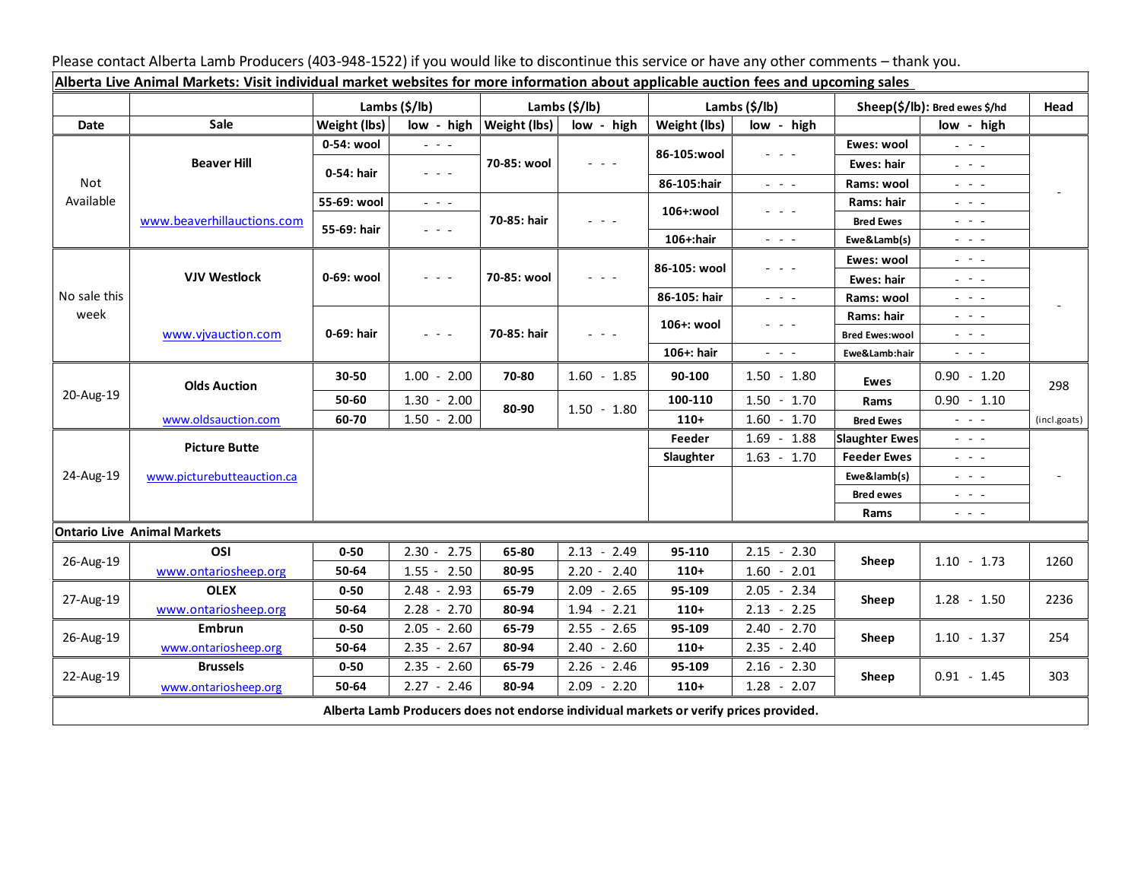Please contact Alberta Lamb Producers (403-948-1522) if you would like to discontinue this service or have any other comments – thank you.

| Alberta Live Animal Markets: Visit individual market websites for more information about applicable auction fees and upcoming sales |                                    |              |                                                                                                                           |                               |                                                                                                                           |               |                                                                                                                                                                                                                                                                                                                                                                                                                                                |                               |                                             |              |
|-------------------------------------------------------------------------------------------------------------------------------------|------------------------------------|--------------|---------------------------------------------------------------------------------------------------------------------------|-------------------------------|---------------------------------------------------------------------------------------------------------------------------|---------------|------------------------------------------------------------------------------------------------------------------------------------------------------------------------------------------------------------------------------------------------------------------------------------------------------------------------------------------------------------------------------------------------------------------------------------------------|-------------------------------|---------------------------------------------|--------------|
|                                                                                                                                     |                                    |              | Lambs $(\frac{2}{3})$ lb)                                                                                                 | Lambs $(\frac{2}{3})$ lb)     |                                                                                                                           | Lambs (\$/lb) |                                                                                                                                                                                                                                                                                                                                                                                                                                                | Sheep(\$/lb): Bred ewes \$/hd |                                             | Head         |
| Date                                                                                                                                | Sale                               | Weight (lbs) |                                                                                                                           | $low - high   Weight (lbs)  $ | low - high                                                                                                                | Weight (lbs)  | low - high                                                                                                                                                                                                                                                                                                                                                                                                                                     |                               | low - high                                  |              |
| Not<br>Available                                                                                                                    | <b>Beaver Hill</b>                 | 0-54: wool   | $  -$                                                                                                                     | 70-85: wool                   | $\frac{1}{2} \left( \frac{1}{2} \right) \left( \frac{1}{2} \right) \left( \frac{1}{2} \right) \left( \frac{1}{2} \right)$ | 86-105:wool   | - - -                                                                                                                                                                                                                                                                                                                                                                                                                                          | Ewes: wool                    | $  -$                                       |              |
|                                                                                                                                     |                                    | 0-54: hair   | $\frac{1}{2} \left( \frac{1}{2} \right) \left( \frac{1}{2} \right) \left( \frac{1}{2} \right) \left( \frac{1}{2} \right)$ |                               |                                                                                                                           |               |                                                                                                                                                                                                                                                                                                                                                                                                                                                | Ewes: hair                    | $  -$                                       |              |
|                                                                                                                                     |                                    |              |                                                                                                                           |                               |                                                                                                                           | 86-105:hair   | $\frac{1}{2} \left( \frac{1}{2} \right) \frac{1}{2} \left( \frac{1}{2} \right) \frac{1}{2} \left( \frac{1}{2} \right) \frac{1}{2} \left( \frac{1}{2} \right) \frac{1}{2} \left( \frac{1}{2} \right) \frac{1}{2} \left( \frac{1}{2} \right) \frac{1}{2} \left( \frac{1}{2} \right) \frac{1}{2} \left( \frac{1}{2} \right) \frac{1}{2} \left( \frac{1}{2} \right) \frac{1}{2} \left( \frac{1}{2} \right) \frac{1}{2} \left( \frac{1}{2} \right)$ | Rams: wool                    | $  -$                                       |              |
|                                                                                                                                     | www.beaverhillauctions.com         | 55-69: wool  | $\sim$ $\sim$ $\sim$                                                                                                      | 70-85: hair                   | $\frac{1}{2} \left( \frac{1}{2} \right) \frac{1}{2} \left( \frac{1}{2} \right) \frac{1}{2} \left( \frac{1}{2} \right)$    | 106+:wool     | - - -                                                                                                                                                                                                                                                                                                                                                                                                                                          | Rams: hair                    | $  -$                                       |              |
|                                                                                                                                     |                                    | 55-69: hair  | $  -$                                                                                                                     |                               |                                                                                                                           |               |                                                                                                                                                                                                                                                                                                                                                                                                                                                | <b>Bred Ewes</b>              | $  -$                                       |              |
|                                                                                                                                     |                                    |              |                                                                                                                           |                               |                                                                                                                           | 106+:hair     | $\frac{1}{2} \left( \frac{1}{2} \right) \left( \frac{1}{2} \right) \left( \frac{1}{2} \right) \left( \frac{1}{2} \right)$                                                                                                                                                                                                                                                                                                                      | Ewe&Lamb(s)                   | $  -$                                       |              |
| No sale this<br>week                                                                                                                | <b>VJV Westlock</b>                | 0-69: wool   | - - -                                                                                                                     | 70-85: wool                   | $\frac{1}{2} \left( \frac{1}{2} \right) \left( \frac{1}{2} \right) \left( \frac{1}{2} \right) \left( \frac{1}{2} \right)$ | 86-105: wool  | - - -                                                                                                                                                                                                                                                                                                                                                                                                                                          | Ewes: wool                    | 20 milion                                   |              |
|                                                                                                                                     |                                    |              |                                                                                                                           |                               |                                                                                                                           |               |                                                                                                                                                                                                                                                                                                                                                                                                                                                | Ewes: hair                    | $  -$                                       |              |
|                                                                                                                                     |                                    |              |                                                                                                                           |                               |                                                                                                                           | 86-105: hair  | $\omega_{\rm{eff}}$ , $\omega_{\rm{eff}}$                                                                                                                                                                                                                                                                                                                                                                                                      | Rams: wool                    | $  -$                                       |              |
|                                                                                                                                     | www.vjvauction.com                 | 0-69: hair   | $  -$                                                                                                                     | 70-85: hair                   | $\frac{1}{2} \left( \frac{1}{2} \right) = \frac{1}{2} \left( \frac{1}{2} \right) = \frac{1}{2}$                           | 106+: wool    | $  -$                                                                                                                                                                                                                                                                                                                                                                                                                                          | Rams: hair                    | $  -$                                       |              |
|                                                                                                                                     |                                    |              |                                                                                                                           |                               |                                                                                                                           |               |                                                                                                                                                                                                                                                                                                                                                                                                                                                | <b>Bred Ewes:wool</b>         | $  -$                                       |              |
|                                                                                                                                     |                                    |              |                                                                                                                           |                               |                                                                                                                           | 106+: hair    | - - -                                                                                                                                                                                                                                                                                                                                                                                                                                          | Ewe&Lamb:hair                 | $  -$                                       |              |
| 20-Aug-19                                                                                                                           | <b>Olds Auction</b>                | 30-50        | $1.00 - 2.00$                                                                                                             | 70-80                         | $1.60 - 1.85$                                                                                                             | 90-100        | $1.50 - 1.80$                                                                                                                                                                                                                                                                                                                                                                                                                                  | Ewes                          | $0.90 - 1.20$                               | 298          |
|                                                                                                                                     |                                    | 50-60        | $1.30 - 2.00$                                                                                                             | 80-90                         | $1.50 - 1.80$                                                                                                             | 100-110       | $1.50 - 1.70$                                                                                                                                                                                                                                                                                                                                                                                                                                  | Rams                          | $0.90 - 1.10$                               |              |
|                                                                                                                                     | www.oldsauction.com                | 60-70        | $1.50 - 2.00$                                                                                                             |                               |                                                                                                                           | $110+$        | $1.60 - 1.70$                                                                                                                                                                                                                                                                                                                                                                                                                                  | <b>Bred Ewes</b>              | - - -                                       | (incl.goats) |
| 24-Aug-19                                                                                                                           | <b>Picture Butte</b>               |              |                                                                                                                           |                               |                                                                                                                           | Feeder        | $1.69 - 1.88$                                                                                                                                                                                                                                                                                                                                                                                                                                  | <b>Slaughter Ewes</b>         | - - -                                       |              |
|                                                                                                                                     | www.picturebutteauction.ca         |              |                                                                                                                           |                               |                                                                                                                           | Slaughter     | $1.63 - 1.70$                                                                                                                                                                                                                                                                                                                                                                                                                                  | <b>Feeder Ewes</b>            | $  -$                                       |              |
|                                                                                                                                     |                                    |              |                                                                                                                           |                               |                                                                                                                           |               |                                                                                                                                                                                                                                                                                                                                                                                                                                                | Ewe&lamb(s)                   | $  -$                                       |              |
|                                                                                                                                     |                                    |              |                                                                                                                           |                               |                                                                                                                           |               |                                                                                                                                                                                                                                                                                                                                                                                                                                                | <b>Bred ewes</b>              | $\omega_{\rm{eff}}$ and $\omega_{\rm{eff}}$ |              |
|                                                                                                                                     |                                    |              |                                                                                                                           |                               |                                                                                                                           |               |                                                                                                                                                                                                                                                                                                                                                                                                                                                | Rams                          | $  -$                                       |              |
|                                                                                                                                     | <b>Ontario Live Animal Markets</b> |              |                                                                                                                           |                               |                                                                                                                           |               |                                                                                                                                                                                                                                                                                                                                                                                                                                                |                               |                                             |              |
| 26-Aug-19                                                                                                                           | OSI                                | $0 - 50$     | $2.30 - 2.75$                                                                                                             | 65-80                         | $2.13 - 2.49$                                                                                                             | 95-110        | $2.15 - 2.30$                                                                                                                                                                                                                                                                                                                                                                                                                                  | Sheep                         | $1.10 - 1.73$                               | 1260         |
|                                                                                                                                     | www.ontariosheep.org               | 50-64        | $1.55 - 2.50$                                                                                                             | 80-95                         | $2.20 - 2.40$                                                                                                             | $110+$        | $1.60 - 2.01$                                                                                                                                                                                                                                                                                                                                                                                                                                  |                               |                                             |              |
| 27-Aug-19                                                                                                                           | <b>OLEX</b>                        | $0 - 50$     | $2.48 - 2.93$                                                                                                             | 65-79                         | 2.09<br>$-2.65$                                                                                                           | 95-109        | $2.05 - 2.34$                                                                                                                                                                                                                                                                                                                                                                                                                                  | Sheep                         | $1.28 - 1.50$                               | 2236         |
|                                                                                                                                     | www.ontariosheep.org               | 50-64        | $2.28 - 2.70$                                                                                                             | 80-94                         | $1.94 - 2.21$                                                                                                             | $110+$        | $2.13 - 2.25$                                                                                                                                                                                                                                                                                                                                                                                                                                  |                               |                                             |              |
| 26-Aug-19                                                                                                                           | <b>Embrun</b>                      | $0 - 50$     | 2.05<br>$-2.60$                                                                                                           | 65-79                         | 2.55<br>$-2.65$                                                                                                           | 95-109        | 2.40<br>$-2.70$                                                                                                                                                                                                                                                                                                                                                                                                                                | Sheep                         | $1.10 - 1.37$                               | 254          |
|                                                                                                                                     | www.ontariosheep.org               | 50-64        | $2.35 - 2.67$                                                                                                             | 80-94                         | $2.40 - 2.60$                                                                                                             | $110+$        | $2.35 - 2.40$                                                                                                                                                                                                                                                                                                                                                                                                                                  |                               |                                             |              |
| 22-Aug-19                                                                                                                           | <b>Brussels</b>                    | $0 - 50$     | $2.35 - 2.60$                                                                                                             | 65-79                         | $2.26 - 2.46$                                                                                                             | 95-109        | $2.16 - 2.30$                                                                                                                                                                                                                                                                                                                                                                                                                                  | Sheep                         | $0.91 - 1.45$                               | 303          |
|                                                                                                                                     | www.ontariosheep.org               | 50-64        | $2.27 - 2.46$                                                                                                             | 80-94                         | $2.09 - 2.20$                                                                                                             | $110+$        | $1.28 - 2.07$                                                                                                                                                                                                                                                                                                                                                                                                                                  |                               |                                             |              |
| Alberta Lamb Producers does not endorse individual markets or verify prices provided.                                               |                                    |              |                                                                                                                           |                               |                                                                                                                           |               |                                                                                                                                                                                                                                                                                                                                                                                                                                                |                               |                                             |              |